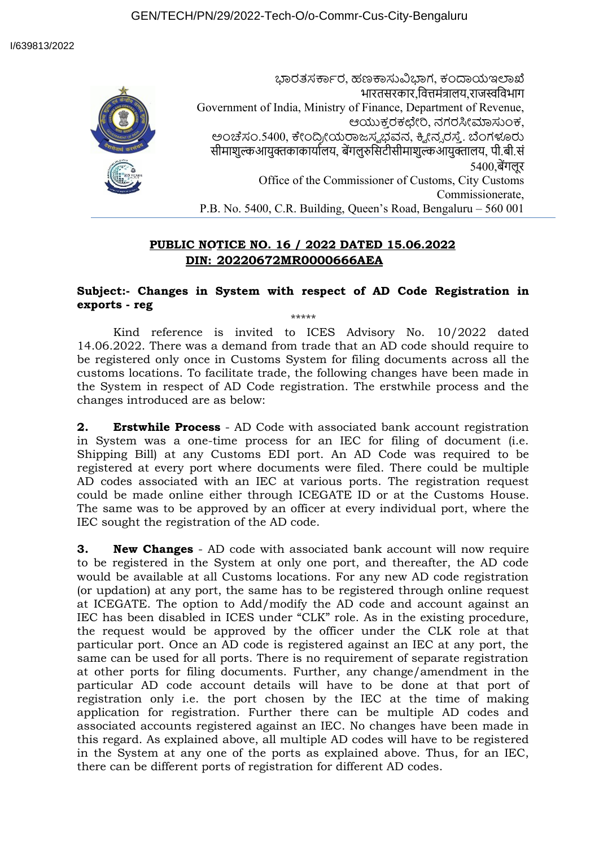ಭಾರತಸರ್ಕಾರ, ಹಣಕಾಸುವಿಭಾಗ, ಕಂದಾಯಇಲಾಖೆ भारतसरकार,वित्तमंत्रालय,राजस्वविभाग Government of India, Ministry of Finance, Department of Revenue, ಆಯುಕ್ತ ರಕಛೇರಿ, ನಗರಸೀಮಾಸುಂಕ, ಅಂಚೆಸಂ.5400, ಕೇಂದ್ರೀಯರಾಜಸ್ವಭವನ, ಕ್ವೀನ್ನರಸ್ತೆ. ಬೆಂಗಳೂರು सीमाशुल्कआयुक्तकाकार्यालय, बेंगलुरुसिटीसीमाशुल्कआयुक्तालय, पी.बी.सं 5400,बेंगलूर Office of the Commissioner of Customs, City Customs Commissionerate, P.B. No. 5400, C.R. Building, Queen's Road, Bengaluru – 560 001

## **PUBLIC NOTICE NO. 16 / 2022 DATED 15.06.2022 DIN: 20220672MR0000666AEA**

## **Subject:- Changes in System with respect of AD Code Registration in exports - reg** \*\*\*\*\*

Kind reference is invited to ICES Advisory No. 10/2022 dated 14.06.2022. There was a demand from trade that an AD code should require to be registered only once in Customs System for filing documents across all the customs locations. To facilitate trade, the following changes have been made in the System in respect of AD Code registration. The erstwhile process and the changes introduced are as below:

**2. Erstwhile Process** - AD Code with associated bank account registration in System was a one-time process for an IEC for filing of document (i.e. Shipping Bill) at any Customs EDI port. An AD Code was required to be registered at every port where documents were filed. There could be multiple AD codes associated with an IEC at various ports. The registration request could be made online either through ICEGATE ID or at the Customs House. The same was to be approved by an officer at every individual port, where the IEC sought the registration of the AD code.

**3. New Changes** - AD code with associated bank account will now require to be registered in the System at only one port, and thereafter, the AD code would be available at all Customs locations. For any new AD code registration (or updation) at any port, the same has to be registered through online request at ICEGATE. The option to Add/modify the AD code and account against an IEC has been disabled in ICES under "CLK" role. As in the existing procedure, the request would be approved by the officer under the CLK role at that particular port. Once an AD code is registered against an IEC at any port, the same can be used for all ports. There is no requirement of separate registration at other ports for filing documents. Further, any change/amendment in the particular AD code account details will have to be done at that port of registration only i.e. the port chosen by the IEC at the time of making application for registration. Further there can be multiple AD codes and associated accounts registered against an IEC. No changes have been made in this regard. As explained above, all multiple AD codes will have to be registered in the System at any one of the ports as explained above. Thus, for an IEC, there can be different ports of registration for different AD codes.